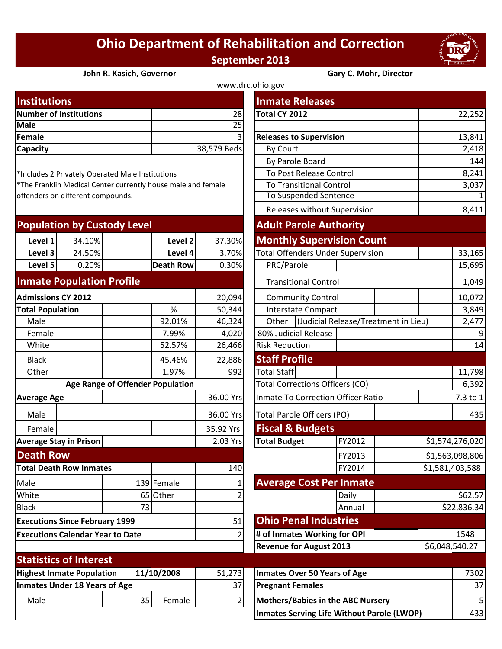## **Ohio Department of Rehabilitation and Correction September 2013**



## **John R. Kasich, Governor Gary C. Mohr, Director**

| www.drc.ohio.gov              |             |                                |        |  |  |  |
|-------------------------------|-------------|--------------------------------|--------|--|--|--|
| <b>Institutions</b>           |             | <b>Inmate Releases</b>         |        |  |  |  |
| <b>Number of Institutions</b> | 28I         | Total CY 2012                  | 22,252 |  |  |  |
| <b>Male</b>                   | 25 l        |                                |        |  |  |  |
| Female                        | 31          | <b>Releases to Supervision</b> | 13,841 |  |  |  |
| <b>Capacity</b>               | 38,579 Beds | By Court                       | 2,418  |  |  |  |
|                               |             |                                |        |  |  |  |

| <b>Population by Custody Level</b> |        |  | <b>Adult Parole Authority</b> |        |                                          |  |  |
|------------------------------------|--------|--|-------------------------------|--------|------------------------------------------|--|--|
| Level 1                            | 34.10% |  | Level 2                       | 37.30% | <b>Monthly Supervision Count</b>         |  |  |
| Level 3                            | 24.50% |  | Level 4                       | 3.70%  | <b>Total Offenders Under Supervision</b> |  |  |
| Level 5                            | 0.20%  |  | <b>Death Row</b>              | 0.30%  | PRC/Parole                               |  |  |
|                                    |        |  |                               |        |                                          |  |  |

## **Inmate Population Profile**

| <b>Admissions CY 2012</b>                      |                               |    |            | 20,094    |                                           | <b>Community Control</b>        |        |  |
|------------------------------------------------|-------------------------------|----|------------|-----------|-------------------------------------------|---------------------------------|--------|--|
| <b>Total Population</b>                        |                               |    | %          | 50,344    |                                           | <b>Interstate Compact</b>       |        |  |
| Male                                           |                               |    | 92.01%     | 46,324    | Other                                     | <b>Judicial Release/Treatme</b> |        |  |
| Female                                         |                               |    | 7.99%      | 4,020     |                                           | 80% Judicial Release            |        |  |
| White                                          |                               |    | 52.57%     | 26,466    | <b>Risk Reduction</b>                     |                                 |        |  |
| <b>Black</b>                                   |                               |    | 45.46%     | 22,886    | <b>Staff Profile</b>                      |                                 |        |  |
| Other                                          |                               |    | 1.97%      | 992       | <b>Total Staff</b>                        |                                 |        |  |
| <b>Age Range of Offender Population</b>        |                               |    |            |           | <b>Total Corrections Officers (CO)</b>    |                                 |        |  |
| <b>Average Age</b>                             |                               |    | 36.00 Yrs  |           | <b>Inmate To Correction Officer Ratio</b> |                                 |        |  |
| Male                                           |                               |    |            | 36.00 Yrs | <b>Total Parole Officers (PO)</b>         |                                 |        |  |
| Female                                         |                               |    |            | 35.92 Yrs | <b>Fiscal &amp; Budgets</b>               |                                 |        |  |
|                                                | <b>Average Stay in Prison</b> |    |            | 2.03 Yrs  | <b>Total Budget</b>                       |                                 | FY2012 |  |
| <b>Death Row</b>                               |                               |    |            |           |                                           | FY2013                          |        |  |
| <b>Total Death Row Inmates</b>                 |                               |    | 140        |           |                                           | FY2014                          |        |  |
| Male                                           |                               |    | 139 Female |           | <b>Average Cost Per Inmate</b>            |                                 |        |  |
| White                                          |                               |    | 65 Other   | 2         |                                           |                                 | Daily  |  |
| <b>Black</b>                                   |                               | 73 |            |           |                                           |                                 | Annual |  |
| <b>Executions Since February 1999</b>          |                               |    |            | 51        | <b>Ohio Penal Industries</b>              |                                 |        |  |
| <b>Executions Calendar Year to Date</b>        |                               |    | 2          |           | # of Inmates Working for OPI              |                                 |        |  |
|                                                |                               |    |            |           | <b>Revenue for August 2013</b>            |                                 |        |  |
|                                                | <b>Statistics of Interest</b> |    |            |           |                                           |                                 |        |  |
| <b>Highest Inmate Population</b><br>11/10/2008 |                               |    | 51,273     |           | <b>Inmates Over 50 Years of Age</b>       |                                 |        |  |
| <b>Inmates Under 18 Years of Age</b>           |                               |    | 37         |           | <b>Pregnant Females</b>                   |                                 |        |  |
| Male                                           |                               | 35 | Female     | 2         | <b>Mothers/Babies in the ABC Nursery</b>  |                                 |        |  |
|                                                |                               |    |            |           |                                           |                                 |        |  |

| <b>Institutions</b>                                          |                                         |                                                  |                  |                                           | <b>Inmate Releases</b>                   |                                      |                |                 |  |
|--------------------------------------------------------------|-----------------------------------------|--------------------------------------------------|------------------|-------------------------------------------|------------------------------------------|--------------------------------------|----------------|-----------------|--|
| <b>Number of Institutions</b>                                |                                         |                                                  | 28               | Total CY 2012                             |                                          |                                      | 22,252         |                 |  |
| <b>Male</b>                                                  |                                         |                                                  |                  | $\overline{25}$                           |                                          |                                      |                |                 |  |
| <b>Female</b>                                                |                                         |                                                  |                  |                                           | <b>Releases to Supervision</b>           |                                      | 13,841         |                 |  |
| Capacity                                                     |                                         |                                                  |                  | 38,579 Beds                               | By Court                                 |                                      |                | 2,418           |  |
|                                                              |                                         |                                                  |                  | By Parole Board                           |                                          |                                      | 144            |                 |  |
|                                                              |                                         | *Includes 2 Privately Operated Male Institutions |                  | To Post Release Control                   |                                          |                                      | 8,241          |                 |  |
| *The Franklin Medical Center currently house male and female |                                         |                                                  |                  | <b>To Transitional Control</b>            |                                          |                                      | 3,037          |                 |  |
| offenders on different compounds.                            |                                         |                                                  |                  | To Suspended Sentence                     |                                          |                                      | $\mathbf 1$    |                 |  |
|                                                              |                                         |                                                  |                  |                                           | Releases without Supervision             |                                      |                | 8,411           |  |
|                                                              |                                         | <b>Population by Custody Level</b>               |                  |                                           | <b>Adult Parole Authority</b>            |                                      |                |                 |  |
| Level 1                                                      | 34.10%                                  |                                                  | Level 2          | 37.30%                                    |                                          | <b>Monthly Supervision Count</b>     |                |                 |  |
| Level 3                                                      | 24.50%                                  |                                                  | Level 4          | 3.70%                                     | <b>Total Offenders Under Supervision</b> |                                      |                | 33,165          |  |
| Level 5                                                      | 0.20%                                   |                                                  | <b>Death Row</b> | 0.30%                                     | PRC/Parole                               |                                      |                | 15,695          |  |
| <b>Inmate Population Profile</b>                             |                                         |                                                  |                  |                                           | <b>Transitional Control</b>              |                                      |                | 1,049           |  |
| <b>Admissions CY 2012</b>                                    |                                         |                                                  |                  | 20,094                                    | <b>Community Control</b>                 |                                      |                | 10,072          |  |
| <b>Total Population</b>                                      |                                         |                                                  | %                | 50,344                                    |                                          | Interstate Compact                   |                | 3,849           |  |
| Male                                                         |                                         |                                                  | 92.01%           | 46,324                                    | Other                                    | (Judicial Release/Treatment in Lieu) | 2,477          |                 |  |
| Female                                                       |                                         |                                                  | 7.99%            | 4,020                                     | 80% Judicial Release                     |                                      |                | 9               |  |
| White                                                        |                                         |                                                  | 52.57%           | 26,466                                    | <b>Risk Reduction</b>                    |                                      |                | 14              |  |
| <b>Black</b>                                                 |                                         |                                                  | 45.46%           | 22,886                                    | <b>Staff Profile</b>                     |                                      |                |                 |  |
| Other                                                        |                                         |                                                  | 1.97%            | 992                                       | <b>Total Staff</b>                       |                                      |                | 11,798          |  |
|                                                              | <b>Age Range of Offender Population</b> |                                                  |                  |                                           | <b>Total Corrections Officers (CO)</b>   |                                      |                |                 |  |
| <b>Average Age</b>                                           |                                         |                                                  | 36.00 Yrs        | <b>Inmate To Correction Officer Ratio</b> |                                          |                                      | 7.3 to 1       |                 |  |
| Male                                                         |                                         |                                                  |                  | 36.00 Yrs                                 | Total Parole Officers (PO)               |                                      |                | 435             |  |
| Female                                                       |                                         |                                                  |                  | 35.92 Yrs                                 | <b>Fiscal &amp; Budgets</b>              |                                      |                |                 |  |
| <b>Average Stay in Prison</b>                                |                                         |                                                  |                  | 2.03 Yrs                                  | <b>Total Budget</b>                      | FY2012                               |                | \$1,574,276,020 |  |
| <b>Death Row</b>                                             |                                         |                                                  |                  |                                           |                                          | FY2013                               |                | \$1,563,098,806 |  |
| <b>Total Death Row Inmates</b>                               |                                         |                                                  |                  | 140                                       |                                          | FY2014                               |                | \$1,581,403,588 |  |
| Male                                                         |                                         |                                                  | 139 Female       |                                           | <b>Average Cost Per Inmate</b>           |                                      |                |                 |  |
| White                                                        |                                         | 65                                               | Other            |                                           |                                          | Daily                                |                | \$62.57         |  |
| <b>Black</b>                                                 |                                         | 73                                               |                  |                                           |                                          | Annual                               |                | \$22,836.34     |  |
| <b>Executions Since February 1999</b>                        |                                         |                                                  |                  | 51                                        | <b>Ohio Penal Industries</b>             |                                      |                |                 |  |
| <b>Executions Calendar Year to Date</b>                      |                                         |                                                  | 2                | # of Inmates Working for OPI              |                                          |                                      | 1548           |                 |  |
|                                                              |                                         |                                                  |                  |                                           | <b>Revenue for August 2013</b>           |                                      | \$6,048,540.27 |                 |  |
| <b>Statistics of Interest</b>                                |                                         |                                                  |                  |                                           |                                          |                                      |                |                 |  |
| <b>Highest Inmate Population</b>                             |                                         |                                                  | 11/10/2008       | 51,273                                    | <b>Inmates Over 50 Years of Age</b>      |                                      |                | 7302            |  |
| <b>Inmates Under 18 Years of Age</b>                         |                                         |                                                  |                  | 37                                        | <b>Pregnant Females</b>                  |                                      |                | 37              |  |
| Male                                                         |                                         | 35                                               | Female           | 2                                         | <b>Mothers/Babies in the ABC Nursery</b> |                                      |                | 5               |  |

**Inmates Serving Life Without Parole (LWOP)** | 433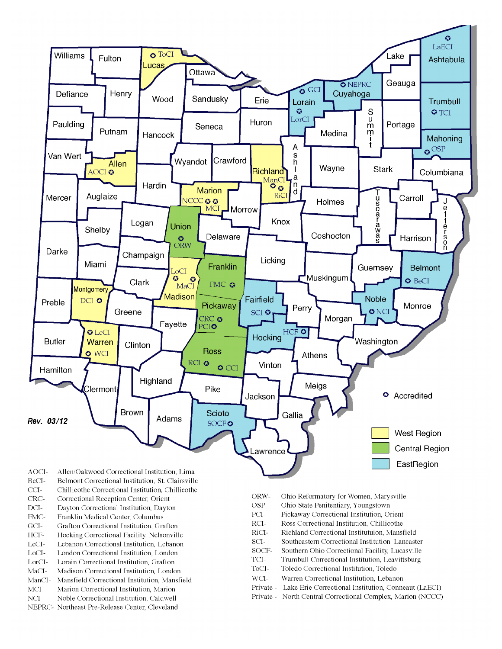

- BeCI-Belmont Correctional Institution, St. Clairsville
- $CCI-$ Chillicothe Correctional Institution, Chillicothe
- Correctional Reception Center, Orient CRC-
- $DCI-$ Dayton Correctional Institution, Dayton
- FMC-Franklin Medical Center, Columbus
- $\rm{GCI}\mbox{-}$ Grafton Correctional Institution, Grafton
- HCF-Hocking Correctional Facility, Nelsonville
- LeCI-Lebanon Correctional Institution, Lebanon
- LoCI-London Correctional Institution. London
- $\operatorname{LorCl-}$ Lorain Correctional Institution, Grafton
- $MaCI-$ Madison Correctional Institution, London
- ManCI-Mansfield Correctional Institution, Mansfield MCI-Marion Correctional Institution, Marion
- Noble Correctional Institution, Caldwell
- NCI-NEPRC- Northeast Pre-Release Center, Cleveland
- ORW-Ohio Reformatory for Women, Marysville
- OSP-Ohio State Penitentiary, Youngstown
- PCI-Pickaway Correctional Institution, Orient
- $\rm RCI-$ Ross Correctional Institution, Chillicothe
- RiCI-Richland Correctional Institutuion, Mansfield
- SCI-Southeastern Correctional Institution, Lancaster
- SOCF-Southern Ohio Correctional Facility, Lucasville
- TCI-Trumbull Correctional Institution, Leavittsburg
- ToCI-Toledo Correctional Institution, Toledo
- $WCI-$ Warren Correctional Institution, Lebanon
- Private Lake Erie Correctional Institution, Conneaut (LaECI)
- Private North Central Correctional Complex, Marion (NCCC)